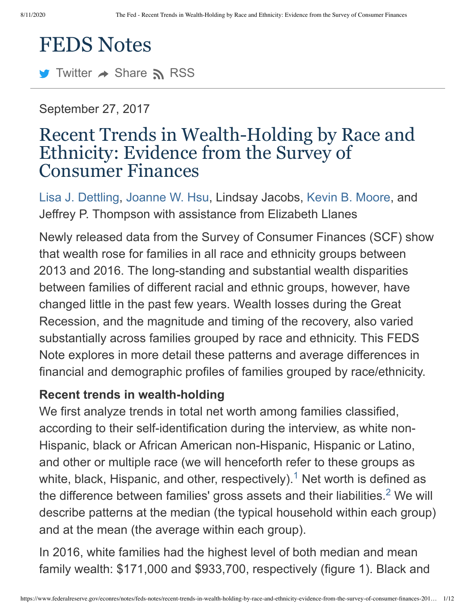# FEDS Notes

 $\blacktriangleright$  [Twitter](http://twitter.com/fedresearch)  $\blacktriangle$  Share  $\blacktriangleright$  [RSS](https://www.federalreserve.gov/feeds/feds_notes.xml)

September 27, 2017

# Recent Trends in Wealth-Holding by Race and Ethnicity: Evidence from the Survey of Consumer Finances

[Lisa J. Dettling,](https://www.federalreserve.gov/econres/lisa-j-dettling.htm) [Joanne W. Hsu,](https://www.federalreserve.gov/econres/joanne-w-hsu.htm) Lindsay Jacobs, [Kevin B. Moore](https://www.federalreserve.gov/econres/kevin-b-moore.htm), and Jeffrey P. Thompson with assistance from Elizabeth Llanes

Newly released data from the Survey of Consumer Finances (SCF) show that wealth rose for families in all race and ethnicity groups between 2013 and 2016. The long-standing and substantial wealth disparities between families of different racial and ethnic groups, however, have changed little in the past few years. Wealth losses during the Great Recession, and the magnitude and timing of the recovery, also varied substantially across families grouped by race and ethnicity. This FEDS Note explores in more detail these patterns and average differences in financial and demographic profiles of families grouped by race/ethnicity.

#### **Recent trends in wealth-holding**

<span id="page-0-0"></span>We first analyze trends in total net worth among families classified, according to their self-identification during the interview, as white non-Hispanic, black or African American non-Hispanic, Hispanic or Latino, and other or multiple race (we will henceforth refer to these groups as white,black, Hispanic, and other, respectively).<sup>1</sup> Net worth is defined as the difference between families' gross assets and their liabilities[.](#page-10-1)<sup>2</sup> We will describe patterns at the median (the typical household within each group) and at the mean (the average within each group).

<span id="page-0-1"></span>In 2016, white families had the highest level of both median and mean family wealth: \$171,000 and \$933,700, respectively (figure 1). Black and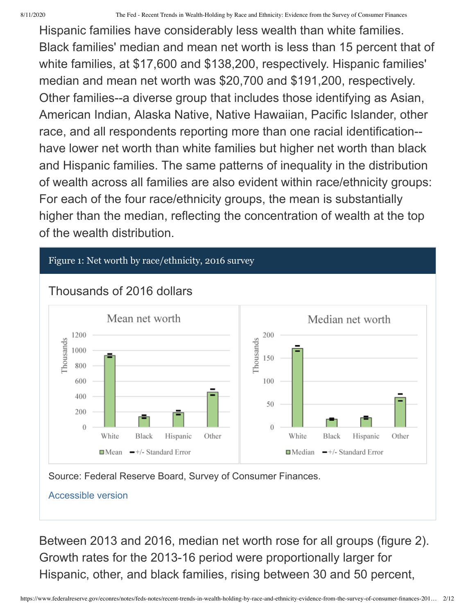Hispanic families have considerably less wealth than white families. Black families' median and mean net worth is less than 15 percent that of white families, at \$17,600 and \$138,200, respectively. Hispanic families' median and mean net worth was \$20,700 and \$191,200, respectively. Other families--a diverse group that includes those identifying as Asian, American Indian, Alaska Native, Native Hawaiian, Pacific Islander, other race, and all respondents reporting more than one racial identification- have lower net worth than white families but higher net worth than black and Hispanic families. The same patterns of inequality in the distribution of wealth across all families are also evident within race/ethnicity groups: For each of the four race/ethnicity groups, the mean is substantially higher than the median, reflecting the concentration of wealth at the top of the wealth distribution.





Source: Federal Reserve Board, Survey of Consumer Finances.

[Accessible version](https://www.federalreserve.gov/econres/notes/feds-notes/recent-trends-in-wealth-holding-by-race-and-ethnicity-evidence-from-the-survey-of-consumer-finances-accessible-20170927.htm#figure1)

Between 2013 and 2016, median net worth rose for all groups (figure 2). Growth rates for the 2013-16 period were proportionally larger for Hispanic, other, and black families, rising between 30 and 50 percent,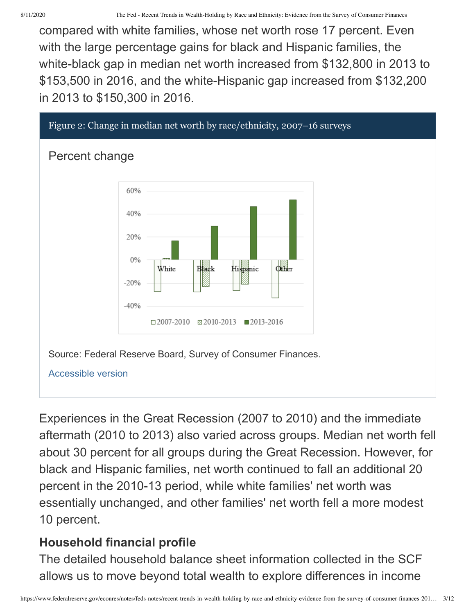compared with white families, whose net worth rose 17 percent. Even with the large percentage gains for black and Hispanic families, the white-black gap in median net worth increased from \$132,800 in 2013 to \$153,500 in 2016, and the white-Hispanic gap increased from \$132,200 in 2013 to \$150,300 in 2016.



Experiences in the Great Recession (2007 to 2010) and the immediate aftermath (2010 to 2013) also varied across groups. Median net worth fell about 30 percent for all groups during the Great Recession. However, for black and Hispanic families, net worth continued to fall an additional 20 percent in the 2010-13 period, while white families' net worth was essentially unchanged, and other families' net worth fell a more modest 10 percent.

#### **Household financial profile**

The detailed household balance sheet information collected in the SCF allows us to move beyond total wealth to explore differences in income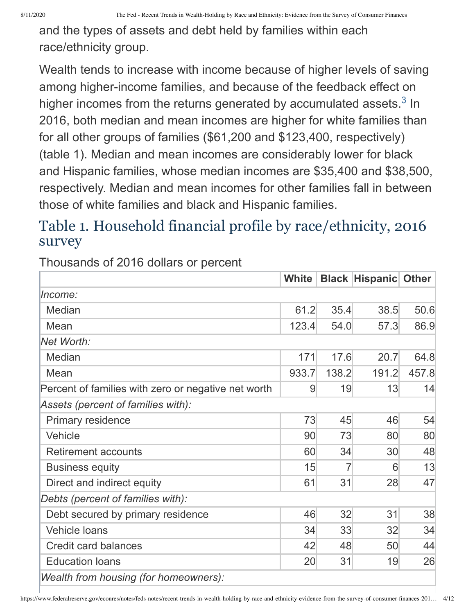and the types of assets and debt held by families within each race/ethnicity group.

<span id="page-3-0"></span>Wealth tends to increase with income because of higher levels of saving among higher-income families, and because of the feedback effect on higher incomes from the returns generated by accumulated assets[.](#page-10-2) $3$  In 2016, both median and mean incomes are higher for white families than for all other groups of families (\$61,200 and \$123,400, respectively) (table 1). Median and mean incomes are considerably lower for black and Hispanic families, whose median incomes are \$35,400 and \$38,500, respectively. Median and mean incomes for other families fall in between those of white families and black and Hispanic families.

# Table 1. Household financial profile by race/ethnicity, 2016 survey

Thousands of 2016 dollars or percent

|                                                     | <b>White</b>    |                | <b>Black Hispanic Other</b> |       |  |  |
|-----------------------------------------------------|-----------------|----------------|-----------------------------|-------|--|--|
| Income:                                             |                 |                |                             |       |  |  |
| Median                                              | 61.2            | 35.4           | 38.5                        | 50.6  |  |  |
| Mean                                                | 123.4           | 54.0           | 57.3                        | 86.9  |  |  |
| Net Worth:                                          |                 |                |                             |       |  |  |
| Median                                              | 171             | 17.6           | 20.7                        | 64.8  |  |  |
| Mean                                                | 933.7           | 138.2          | 191.2                       | 457.8 |  |  |
| Percent of families with zero or negative net worth | 9               | 19             | 13                          | 14    |  |  |
| Assets (percent of families with):                  |                 |                |                             |       |  |  |
| <b>Primary residence</b>                            | 73              | 45             | 46                          | 54    |  |  |
| Vehicle                                             | 90              | 73             | 80                          | 80    |  |  |
| <b>Retirement accounts</b>                          | 60              | 34             | 30                          | 48    |  |  |
| <b>Business equity</b>                              | 15              | $\overline{7}$ | 6                           | 13    |  |  |
| Direct and indirect equity                          |                 | 31             | 28                          | 47    |  |  |
| Debts (percent of families with):                   |                 |                |                             |       |  |  |
| Debt secured by primary residence                   | 46              | 32             | 31                          | 38    |  |  |
| <b>Vehicle loans</b>                                |                 | 33<br>34       | 32                          | 34    |  |  |
| <b>Credit card balances</b>                         | 42              | 48             | 50                          | 44    |  |  |
| <b>Education loans</b>                              | 20 <sup>°</sup> | 31             | 19                          | 26    |  |  |
| Wealth from housing (for homeowners):               |                 |                |                             |       |  |  |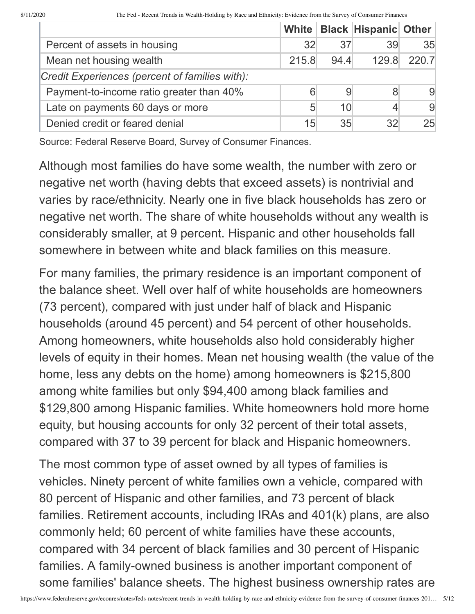|                                                |       |                 | White   Black   Hispanic   Other |                 |
|------------------------------------------------|-------|-----------------|----------------------------------|-----------------|
| Percent of assets in housing                   | 32    | 37              | 39                               | 35 <sub>l</sub> |
| Mean net housing wealth                        | 215.8 | 94.4            | 129.8                            | 220.7           |
| Credit Experiences (percent of families with): |       |                 |                                  |                 |
| Payment-to-income ratio greater than 40%       | 6     | 9               |                                  | 9               |
| Late on payments 60 days or more               | 5     | 10 <sup>1</sup> |                                  | 9               |
| Denied credit or feared denial                 | 15    | 35              | 32                               | 25 <sub>1</sub> |

Source: Federal Reserve Board, Survey of Consumer Finances.

Although most families do have some wealth, the number with zero or negative net worth (having debts that exceed assets) is nontrivial and varies by race/ethnicity. Nearly one in five black households has zero or negative net worth. The share of white households without any wealth is considerably smaller, at 9 percent. Hispanic and other households fall somewhere in between white and black families on this measure.

For many families, the primary residence is an important component of the balance sheet. Well over half of white households are homeowners (73 percent), compared with just under half of black and Hispanic households (around 45 percent) and 54 percent of other households. Among homeowners, white households also hold considerably higher levels of equity in their homes. Mean net housing wealth (the value of the home, less any debts on the home) among homeowners is \$215,800 among white families but only \$94,400 among black families and \$129,800 among Hispanic families. White homeowners hold more home equity, but housing accounts for only 32 percent of their total assets, compared with 37 to 39 percent for black and Hispanic homeowners.

The most common type of asset owned by all types of families is vehicles. Ninety percent of white families own a vehicle, compared with 80 percent of Hispanic and other families, and 73 percent of black families. Retirement accounts, including IRAs and 401(k) plans, are also commonly held; 60 percent of white families have these accounts, compared with 34 percent of black families and 30 percent of Hispanic families. A family-owned business is another important component of some families' balance sheets. The highest business ownership rates are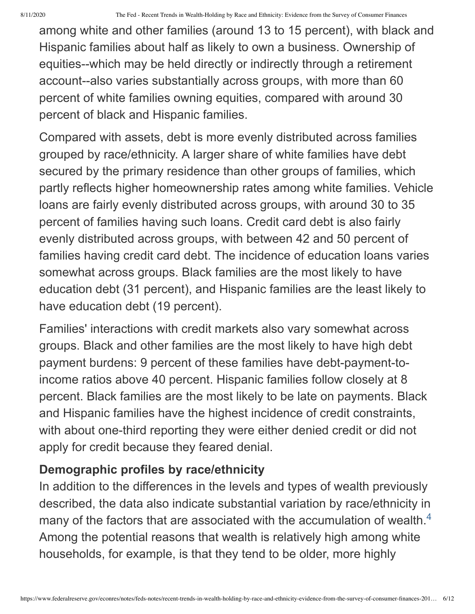among white and other families (around 13 to 15 percent), with black and Hispanic families about half as likely to own a business. Ownership of equities--which may be held directly or indirectly through a retirement account--also varies substantially across groups, with more than 60 percent of white families owning equities, compared with around 30 percent of black and Hispanic families.

Compared with assets, debt is more evenly distributed across families grouped by race/ethnicity. A larger share of white families have debt secured by the primary residence than other groups of families, which partly reflects higher homeownership rates among white families. Vehicle loans are fairly evenly distributed across groups, with around 30 to 35 percent of families having such loans. Credit card debt is also fairly evenly distributed across groups, with between 42 and 50 percent of families having credit card debt. The incidence of education loans varies somewhat across groups. Black families are the most likely to have education debt (31 percent), and Hispanic families are the least likely to have education debt (19 percent).

Families' interactions with credit markets also vary somewhat across groups. Black and other families are the most likely to have high debt payment burdens: 9 percent of these families have debt-payment-toincome ratios above 40 percent. Hispanic families follow closely at 8 percent. Black families are the most likely to be late on payments. Black and Hispanic families have the highest incidence of credit constraints, with about one-third reporting they were either denied credit or did not apply for credit because they feared denial.

#### **Demographic profiles by race/ethnicity**

<span id="page-5-0"></span>In addition to the differences in the levels and types of wealth previously described, the data also indicate substantial variation by race/ethnicity in many of the factors that are associated with the accumulation of wealth.<sup>[4](#page-10-3)</sup> Among the potential reasons that wealth is relatively high among white households, for example, is that they tend to be older, more highly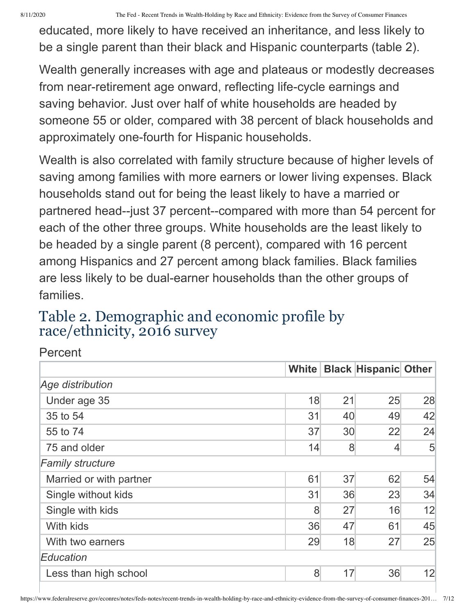8/11/2020 The Fed - Recent Trends in Wealth-Holding by Race and Ethnicity: Evidence from the Survey of Consumer Finances

educated, more likely to have received an inheritance, and less likely to be a single parent than their black and Hispanic counterparts (table 2).

Wealth generally increases with age and plateaus or modestly decreases from near-retirement age onward, reflecting life-cycle earnings and saving behavior. Just over half of white households are headed by someone 55 or older, compared with 38 percent of black households and approximately one-fourth for Hispanic households.

Wealth is also correlated with family structure because of higher levels of saving among families with more earners or lower living expenses. Black households stand out for being the least likely to have a married or partnered head--just 37 percent--compared with more than 54 percent for each of the other three groups. White households are the least likely to be headed by a single parent (8 percent), compared with 16 percent among Hispanics and 27 percent among black families. Black families are less likely to be dual-earner households than the other groups of families.

# Table 2. Demographic and economic profile by race/ethnicity, 2016 survey

| Percent                 |       |    |                             |                |
|-------------------------|-------|----|-----------------------------|----------------|
|                         | White |    | <b>Black Hispanic Other</b> |                |
| Age distribution        |       |    |                             |                |
| Under age 35            | 18    | 21 | 25                          | 28             |
| 35 to 54                | 31    | 40 | 49                          | 42             |
| 55 to 74                | 37    | 30 | 22                          | 24             |
| 75 and older            | 14    | 8  | $\overline{4}$              | 5 <sup>5</sup> |
| <b>Family structure</b> |       |    |                             |                |
| Married or with partner | 61    | 37 | 62                          | 54             |
| Single without kids     | 31    | 36 | 23                          | 34             |
| Single with kids        | 8     | 27 | 16                          | 12             |
| With kids               | 36    | 47 | 61                          | 45             |
| With two earners        | 29    | 18 | 27                          | 25             |
| Education               |       |    |                             |                |
| Less than high school   | 8     | 17 | 36                          | 12             |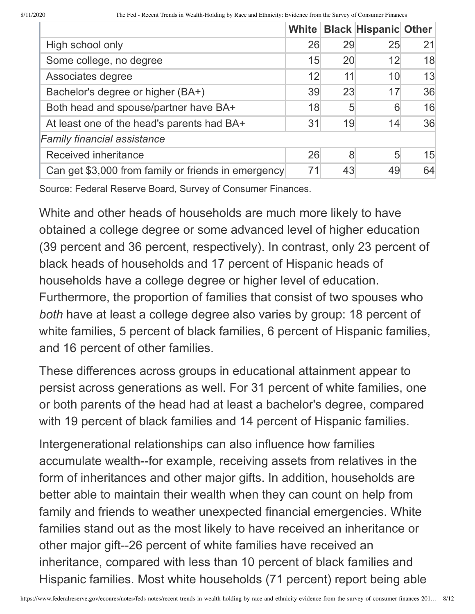|                                                     |    |    | White   Black   Hispanic   Other |    |
|-----------------------------------------------------|----|----|----------------------------------|----|
| High school only                                    | 26 | 29 | 25                               | 21 |
| Some college, no degree                             | 15 | 20 | 12                               | 18 |
| Associates degree                                   | 12 | 11 | 10 <sup>1</sup>                  | 13 |
| Bachelor's degree or higher (BA+)                   | 39 | 23 | 17                               | 36 |
| Both head and spouse/partner have BA+               | 18 | 5  | 6                                | 16 |
| At least one of the head's parents had BA+          | 31 | 19 | 14                               | 36 |
| <b>Family financial assistance</b>                  |    |    |                                  |    |
| <b>Received inheritance</b>                         | 26 | 8  | 5                                | 15 |
| Can get \$3,000 from family or friends in emergency | 71 | 43 | 49                               | 64 |

Source: Federal Reserve Board, Survey of Consumer Finances.

White and other heads of households are much more likely to have obtained a college degree or some advanced level of higher education (39 percent and 36 percent, respectively). In contrast, only 23 percent of black heads of households and 17 percent of Hispanic heads of households have a college degree or higher level of education. Furthermore, the proportion of families that consist of two spouses who *both* have at least a college degree also varies by group: 18 percent of white families, 5 percent of black families, 6 percent of Hispanic families, and 16 percent of other families.

These differences across groups in educational attainment appear to persist across generations as well. For 31 percent of white families, one or both parents of the head had at least a bachelor's degree, compared with 19 percent of black families and 14 percent of Hispanic families.

Intergenerational relationships can also influence how families accumulate wealth--for example, receiving assets from relatives in the form of inheritances and other major gifts. In addition, households are better able to maintain their wealth when they can count on help from family and friends to weather unexpected financial emergencies. White families stand out as the most likely to have received an inheritance or other major gift--26 percent of white families have received an inheritance, compared with less than 10 percent of black families and Hispanic families. Most white households (71 percent) report being able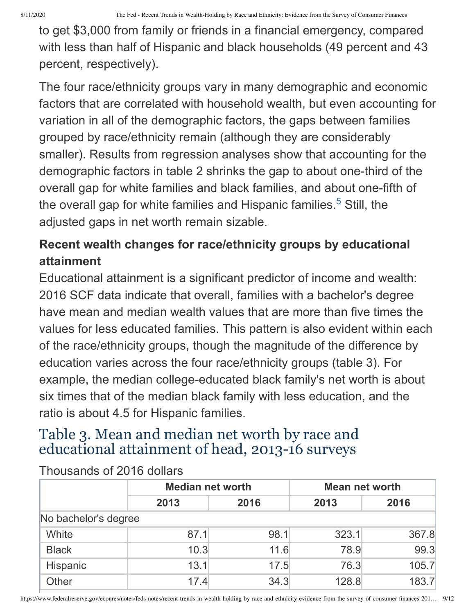to get \$3,000 from family or friends in a financial emergency, compared with less than half of Hispanic and black households (49 percent and 43 percent, respectively).

The four race/ethnicity groups vary in many demographic and economic factors that are correlated with household wealth, but even accounting for variation in all of the demographic factors, the gaps between families grouped by race/ethnicity remain (although they are considerably smaller). Results from regression analyses show that accounting for the demographic factors in table 2 shrinks the gap to about one-third of the overall gap for white families and black families, and about one-fifth of the overall gap for white families and Hispanic families.<sup>5</sup> Still, the adjusted gaps in net worth remain sizable.

### <span id="page-8-0"></span>**Recent wealth changes for race/ethnicity groups by educational attainment**

Educational attainment is a significant predictor of income and wealth: 2016 SCF data indicate that overall, families with a bachelor's degree have mean and median wealth values that are more than five times the values for less educated families. This pattern is also evident within each of the race/ethnicity groups, though the magnitude of the difference by education varies across the four race/ethnicity groups (table 3). For example, the median college-educated black family's net worth is about six times that of the median black family with less education, and the ratio is about 4.5 for Hispanic families.

## Table 3. Mean and median net worth by race and educational attainment of head, 2013-16 surveys

|                      | <b>Median net worth</b> |      |       | <b>Mean net worth</b> |  |  |  |
|----------------------|-------------------------|------|-------|-----------------------|--|--|--|
|                      | 2013                    | 2016 | 2013  | 2016                  |  |  |  |
| No bachelor's degree |                         |      |       |                       |  |  |  |
| White                | 87.1                    | 98.1 | 323.1 | 367.8                 |  |  |  |
| <b>Black</b>         | 10.3                    | 11.6 | 78.9  | 99.3                  |  |  |  |
| Hispanic             | 13.1                    | 17.5 | 76.3  | 105.7                 |  |  |  |
| Other                | 17.4                    | 34.3 | 128.8 | 183.7                 |  |  |  |

Thousands of 2016 dollars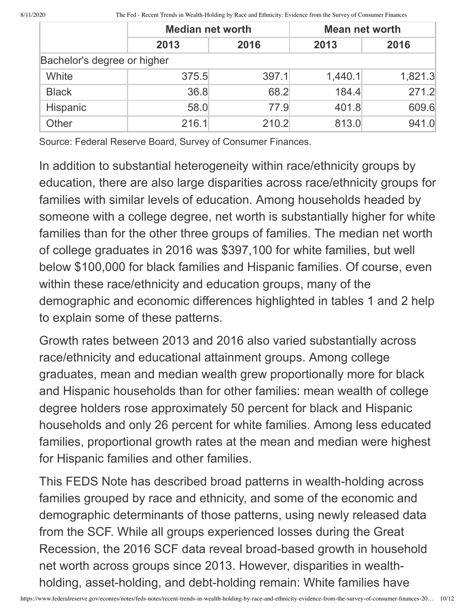8/11/2020 The Fed - Recent Trends in Wealth-Holding by Race and Ethnicity: Evidence from the Survey of Consumer Finances

|                             | <b>Median net worth</b> |       |         | <b>Mean net worth</b> |  |  |  |
|-----------------------------|-------------------------|-------|---------|-----------------------|--|--|--|
|                             | 2013<br>2016<br>2013    |       |         | 2016                  |  |  |  |
| Bachelor's degree or higher |                         |       |         |                       |  |  |  |
| White                       | 375.5                   | 397.1 | 1,440.1 | 1,821.3               |  |  |  |
| <b>Black</b>                | 36.8                    | 68.2  | 184.4   | 271.2                 |  |  |  |
| Hispanic                    | 58.0                    | 77.9  | 401.8   | 609.6                 |  |  |  |
| Other                       | 216.1                   | 210.2 | 813.0   | 941.0                 |  |  |  |

Source: Federal Reserve Board, Survey of Consumer Finances.

In addition to substantial heterogeneity within race/ethnicity groups by education, there are also large disparities across race/ethnicity groups for families with similar levels of education. Among households headed by someone with a college degree, net worth is substantially higher for white families than for the other three groups of families. The median net worth of college graduates in 2016 was \$397,100 for white families, but well below \$100,000 for black families and Hispanic families. Of course, even within these race/ethnicity and education groups, many of the demographic and economic differences highlighted in tables 1 and 2 help to explain some of these patterns.

Growth rates between 2013 and 2016 also varied substantially across race/ethnicity and educational attainment groups. Among college graduates, mean and median wealth grew proportionally more for black and Hispanic households than for other families: mean wealth of college degree holders rose approximately 50 percent for black and Hispanic households and only 26 percent for white families. Among less educated families, proportional growth rates at the mean and median were highest for Hispanic families and other families.

This FEDS Note has described broad patterns in wealth-holding across families grouped by race and ethnicity, and some of the economic and demographic determinants of those patterns, using newly released data from the SCF. While all groups experienced losses during the Great Recession, the 2016 SCF data reveal broad-based growth in household net worth across groups since 2013. However, disparities in wealthholding, asset-holding, and debt-holding remain: White families have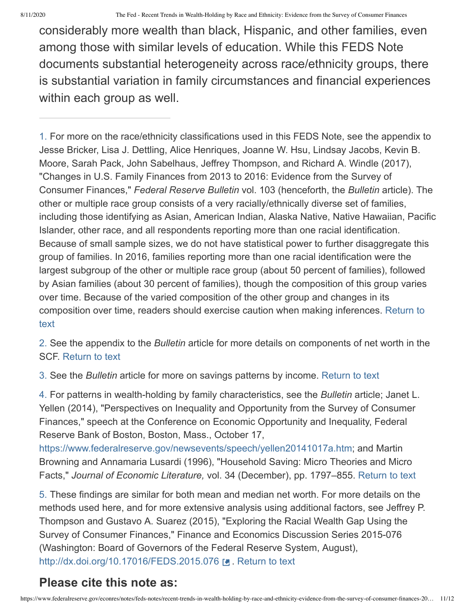considerably more wealth than black, Hispanic, and other families, even among those with similar levels of education. While this FEDS Note documents substantial heterogeneity across race/ethnicity groups, there is substantial variation in family circumstances and financial experiences within each group as well.

<span id="page-10-0"></span>1. For more on the race/ethnicity classifications used in this FEDS Note, see the appendix to Jesse Bricker, Lisa J. Dettling, Alice Henriques, Joanne W. Hsu, Lindsay Jacobs, Kevin B. Moore, Sarah Pack, John Sabelhaus, Jeffrey Thompson, and Richard A. Windle (2017), "Changes in U.S. Family Finances from 2013 to 2016: Evidence from the Survey of Consumer Finances," *Federal Reserve Bulletin* vol. 103 (henceforth, the *Bulletin* article). The other or multiple race group consists of a very racially/ethnically diverse set of families, including those identifying as Asian, American Indian, Alaska Native, Native Hawaiian, Pacific Islander, other race, and all respondents reporting more than one racial identification. Because of small sample sizes, we do not have statistical power to further disaggregate this group of families. In 2016, families reporting more than one racial identification were the largest subgroup of the other or multiple race group (about 50 percent of families), followed by Asian families (about 30 percent of families), though the composition of this group varies over time. Because of the varied composition of the other group and changes in its [composition over time, readers should exercise caution when making inferences. Return to](#page-0-0) text

<span id="page-10-1"></span>2. See the appendix to the *Bulletin* article for more details on components of net worth in the SCF. [Return to text](#page-0-1)

<span id="page-10-2"></span>3. See the *Bulletin* article for more on savings patterns by income. [Return to text](#page-3-0)

<span id="page-10-3"></span>4. For patterns in wealth-holding by family characteristics, see the *Bulletin* article; Janet L. Yellen (2014), "Perspectives on Inequality and Opportunity from the Survey of Consumer Finances," speech at the Conference on Economic Opportunity and Inequality, Federal Reserve Bank of Boston, Boston, Mass., October 17,

[https://www.federalreserve.gov/newsevents/speech/yellen20141017a.htm;](https://www.federalreserve.gov/newsevents/speech/yellen20141017a.htm) and Martin Browning and Annamaria Lusardi (1996), "Household Saving: Micro Theories and Micro Facts," *Journal of Economic Literature,* vol. 34 (December), pp. 1797–855. [Return to text](#page-5-0)

<span id="page-10-4"></span>5. These findings are similar for both mean and median net worth. For more details on the methods used here, and for more extensive analysis using additional factors, see Jeffrey P. Thompson and Gustavo A. Suarez (2015), "Exploring the Racial Wealth Gap Using the Survey of Consumer Finances," Finance and Economics Discussion Series 2015-076 (Washington: Board of Governors of the Federal Reserve System, August), <http://dx.doi.org/10.17016/FEDS.2015.076> . [Return to text](#page-8-0)

#### **Please cite this note as:**